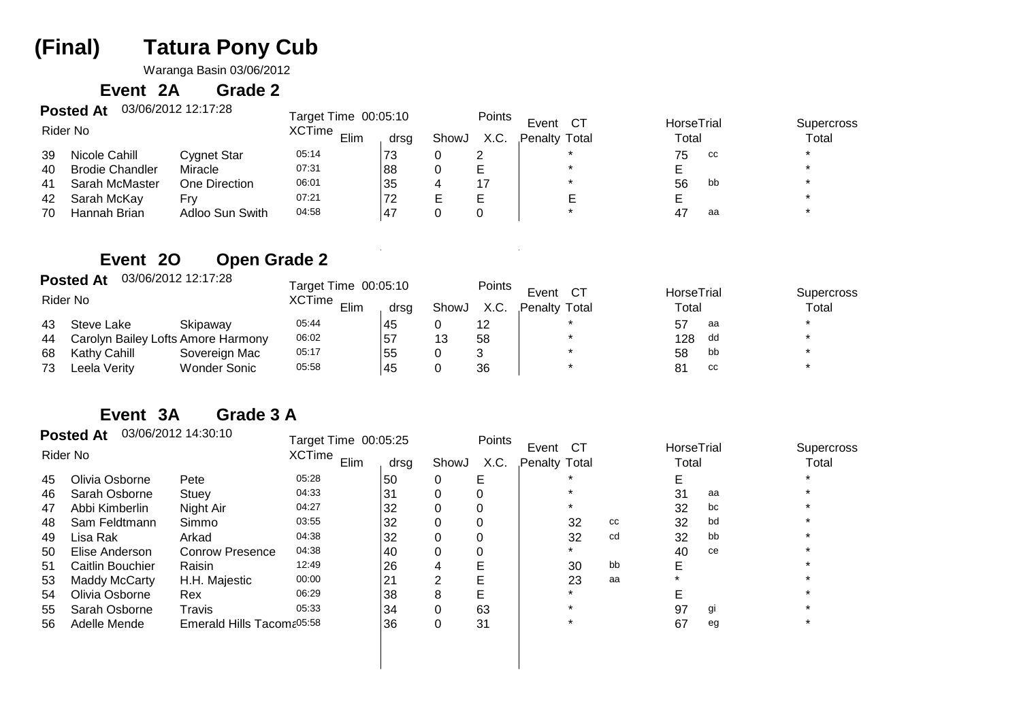# **Tatura Pony Cub(Final)**

Waranga Basin 03/06/2012

#### **Event 2AGrade 2**

|    | 03/06/2012 12:17:28<br><b>Posted At</b> | Target Time 00:05:10 |       |       | Points | Event<br>CT.  |                     |    |                            |         |
|----|-----------------------------------------|----------------------|-------|-------|--------|---------------|---------------------|----|----------------------------|---------|
|    | Rider No                                | XCTime Elim -        | drsg  | ShowJ | X.C.   | Penalty Total | HorseTrial<br>Total |    | <b>Supercross</b><br>Total |         |
| 39 | Nicole Cahill                           | Cygnet Star          | 05:14 | 73    |        |               |                     | 75 | CC                         | $\star$ |
| 40 | <b>Brodie Chandler</b>                  | Miracle              | 07:31 | 88    |        |               |                     |    |                            | $\star$ |
| 41 | Sarah McMaster                          | One Direction        | 06:01 | 35    |        | 17            |                     | 56 | bb                         |         |
| 42 | Sarah McKay                             | Frv                  | 07:21 | 72    |        |               |                     |    |                            |         |
| 70 | Hannah Brian                            | Adloo Sun Swith      | 04:58 | . 47  |        |               |                     | 47 | aa                         |         |

### **Event 2OOpen Grade 2**

|    | 03/06/2012 12:17:28<br><b>Posted At</b><br>Rider No |                     | Target Time 00:05:10 |               |    | Points        | Event | $C^{\intercal}$ | HorseTrial |       | <b>Supercross</b> |
|----|-----------------------------------------------------|---------------------|----------------------|---------------|----|---------------|-------|-----------------|------------|-------|-------------------|
|    |                                                     | XCTime Elim<br>drsq |                      | ShowJ<br>X.C. |    | Penalty Total |       | Total           |            | Total |                   |
| 43 | Steve Lake                                          | Skipaway            | 05:44                | 45            |    |               |       |                 | 57         | aa    | $\star$           |
| 44 | Carolyn Bailey Lofts Amore Harmony                  |                     | 06:02                | 57ء           | 13 | 58            |       |                 | 128        | dd    |                   |
| 68 | Kathy Cahill                                        | Sovereign Mac       | 05:17                | 55            |    |               |       |                 | 58         | bb    |                   |
| 73 | Leela Verity                                        | <b>Wonder Sonic</b> | 05:58                | 45            |    | 36            |       |                 | 81         | cc    |                   |

#### **Event 3AGrade 3 A**

|    | <b>Posted At</b>     | 03/06/2012 14:30:10             | Target Time 00:05:25  |      |       | Points | Event<br>CT.  |    | HorseTrial |    | <b>Supercross</b> |
|----|----------------------|---------------------------------|-----------------------|------|-------|--------|---------------|----|------------|----|-------------------|
|    | Rider No             |                                 | <b>XCTime</b><br>Elim | drsg | ShowJ | X.C.   | Penalty Total |    | Total      |    | Total             |
| 45 | Olivia Osborne       | Pete                            | 05:28                 | 50   | 0     | Е      |               |    |            |    |                   |
| 46 | Sarah Osborne        | Stuey                           | 04:33                 | 31   |       |        |               |    | 31         | aa |                   |
| 47 | Abbi Kimberlin       | Night Air                       | 04:27                 | 32   |       |        |               |    | 32         | bc |                   |
| 48 | Sam Feldtmann        | Simmo                           | 03:55                 | 32   |       |        | 32            | cc | 32         | bd |                   |
| 49 | Lisa Rak             | Arkad                           | 04:38                 | 32   |       |        | 32            | cd | 32         | bb |                   |
| 50 | Elise Anderson       | <b>Conrow Presence</b>          | 04:38                 | 40   | 0     |        |               |    | 40         | ce |                   |
| 51 | Caitlin Bouchier     | Raisin                          | 12:49                 | 26   |       |        | 30            | bb |            |    |                   |
| 53 | <b>Maddy McCarty</b> | H.H. Majestic                   | 00:00                 | 21   | 2     | E      | 23            | aa |            |    |                   |
| 54 | Olivia Osborne       | Rex                             | 06:29                 | 38   | 8     | E      |               |    |            |    |                   |
| 55 | Sarah Osborne        | Travis                          | 05:33                 | 34   |       | 63     |               |    | 97         | gi |                   |
| 56 | Adelle Mende         | Emerald Hills Tacom $e^{05:58}$ |                       | 36   | 0     | 31     |               |    | 67         | eg |                   |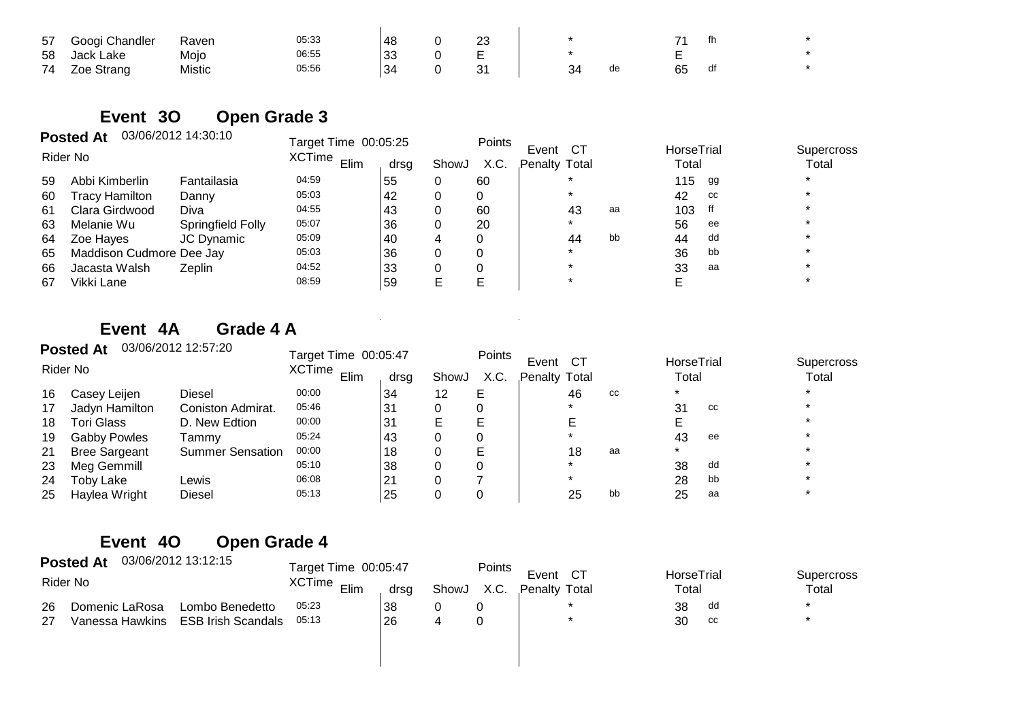| 57 | Googi Chandler | Raven  | 05:33 | 48       | ົ<br>د∠ |           |    |    | th |  |
|----|----------------|--------|-------|----------|---------|-----------|----|----|----|--|
| 58 | Jack Lake      | Mojo   | 06:55 | ົາລ<br>ິ | -<br>-  |           |    |    |    |  |
| 74 | Zoe Strang     | Mistic | 05:56 | 34       | ົ<br>ັ  | 34<br>ັບ¬ | de | GБ | df |  |

### **Event 3OOpen Grade 3**

|    | <b>Posted At</b>         | 03/06/2012 14:30:10 | Target Time 00:05:25 |      |       | Points      |               |    |            |    |            |
|----|--------------------------|---------------------|----------------------|------|-------|-------------|---------------|----|------------|----|------------|
|    | Rider No                 |                     | <b>XCTime</b>        |      |       | CТ<br>Event |               |    | HorseTrial |    | Supercross |
|    |                          |                     | Elim                 | drsq | ShowJ | X.C.        | Penalty Total |    | Total      |    | Total      |
| 59 | Abbi Kimberlin           | Fantailasia         | 04:59                | 55   |       | 60          |               |    | 115        | gg | $\star$    |
| 60 | Tracy Hamilton           | Danny               | 05:03                | 42   |       |             |               |    | 42         | cc |            |
| 61 | Clara Girdwood           | Diva                | 04:55                | 43   |       | 60          | 43            | aa | 103        |    |            |
| 63 | Melanie Wu               | Springfield Folly   | 05:07                | 36   |       | 20          | $\star$       |    | 56         | ee | $\star$    |
| 64 | Zoe Hayes                | JC Dynamic          | 05:09                | 40   | 4     | 0           | 44            | bb | 44         | dd |            |
| 65 | Maddison Cudmore Dee Jay |                     | 05:03                | 36   |       | 0           | $\star$       |    | 36         | bb |            |
| 66 | Jacasta Walsh            | Zeplin              | 04:52                | 33   |       |             |               |    | 33         | aa |            |
| 67 | Vikki Lane               |                     | 08:59                | 59   | E     |             |               |    |            |    |            |

### **Event 4AGrade 4 A**

|    | <b>Posted At</b>     | 03/06/2012 12:57:20     | Target Time 00:05:47                   |    |      | Points                       |  |    |                     |                     |    |  |
|----|----------------------|-------------------------|----------------------------------------|----|------|------------------------------|--|----|---------------------|---------------------|----|--|
|    | Rider No             |                         | <b>XCTime</b><br>Elim<br>ShowJ<br>drsg |    | X.C. | Event<br>CТ<br>Penalty Total |  |    | HorseTrial<br>Total | Supercross<br>Total |    |  |
| 16 | Casey Leijen         | Diesel                  | 00:00                                  | 34 | 12   | Е                            |  | 46 | cc                  | $\star$             |    |  |
| 17 | Jadyn Hamilton       | Coniston Admirat.       | 05:46                                  | 31 |      |                              |  |    |                     | 31                  | CC |  |
| 18 | Tori Glass           | D. New Edtion           | 00:00                                  | 31 | E    | E.                           |  |    |                     |                     |    |  |
| 19 | <b>Gabby Powles</b>  | Tammv                   | 05:24                                  | 43 |      |                              |  |    |                     | 43                  | ee |  |
| 21 | <b>Bree Sargeant</b> | <b>Summer Sensation</b> | 00:00                                  | 18 | 0    | Е                            |  | 18 | aa                  | $\star$             |    |  |
| 23 | Meg Gemmill          |                         | 05:10                                  | 38 | 0    |                              |  |    |                     | 38                  | dd |  |
| 24 | Toby Lake            | Lewis                   | 06:08                                  | 21 |      |                              |  |    |                     | 28                  | bb |  |
| 25 | Haylea Wright        | Diesel                  | 05:13                                  | 25 |      |                              |  | 25 | bb                  | 25                  | aa |  |

### **Event 4OOpen Grade 4**

|    | 03/06/2012 13:12:15<br><b>Posted At</b> | Target Time 00:05:47      |                                             |    | Points | Event               |  |                     |    |  |
|----|-----------------------------------------|---------------------------|---------------------------------------------|----|--------|---------------------|--|---------------------|----|--|
|    | Rider No                                | XCTime <sub>Elim</sub>    | <b>CT</b><br>ShowJ<br>X.C.<br>Penalty Total |    |        | HorseTrial<br>Total |  | Supercross<br>Total |    |  |
| 26 | Domenic LaRosa                          | Lombo Benedetto           | 05:23                                       | 38 |        |                     |  | 38                  | dd |  |
| 27 | Vanessa Hawkins                         | <b>ESB Irish Scandals</b> | 05:13                                       | 26 |        |                     |  | 30                  | cc |  |